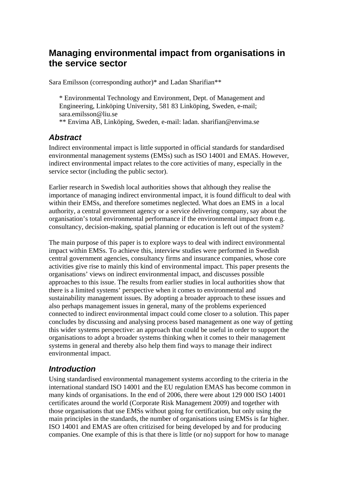# **Managing environmental impact from organisations in the service sector**

Sara Emilsson (corresponding author)\* and Ladan Sharifian\*\*

\* Environmental Technology and Environment, Dept. of Management and Engineering, Linköping University, 581 83 Linköping, Sweden, e-mail; [sara.emilsson@liu.se](mailto:sara.emilsson@liu.se) 

\*\* Envima AB, Linköping, Sweden, e-mail: ladan. sharifian@envima.se

## *Abstract*

Indirect environmental impact is little supported in official standards for standardised environmental management systems (EMSs) such as ISO 14001 and EMAS. However, indirect environmental impact relates to the core activities of many, especially in the service sector (including the public sector).

Earlier research in Swedish local authorities shows that although they realise the importance of managing indirect environmental impact, it is found difficult to deal with within their EMSs, and therefore sometimes neglected. What does an EMS in a local authority, a central government agency or a service delivering company, say about the organisation's total environmental performance if the environmental impact from e.g. consultancy, decision-making, spatial planning or education is left out of the system?

The main purpose of this paper is to explore ways to deal with indirect environmental impact within EMSs. To achieve this, interview studies were performed in Swedish central government agencies, consultancy firms and insurance companies, whose core activities give rise to mainly this kind of environmental impact. This paper presents the organisations' views on indirect environmental impact, and discusses possible approaches to this issue. The results from earlier studies in local authorities show that there is a limited systems' perspective when it comes to environmental and sustainability management issues. By adopting a broader approach to these issues and also perhaps management issues in general, many of the problems experienced connected to indirect environmental impact could come closer to a solution. This paper concludes by discussing and analysing process based management as one way of getting this wider systems perspective: an approach that could be useful in order to support the organisations to adopt a broader systems thinking when it comes to their management systems in general and thereby also help them find ways to manage their indirect environmental impact.

## *Introduction*

Using standardised environmental management systems according to the criteria in the international standard ISO 14001 and the EU regulation EMAS has become common in many kinds of organisations. In the end of 2006, there were about 129 000 ISO 14001 certificates around the world (Corporate Risk Management 2009) and together with those organisations that use EMSs without going for certification, but only using the main principles in the standards, the number of organisations using EMSs is far higher. ISO 14001 and EMAS are often critizised for being developed by and for producing companies. One example of this is that there is little (or no) support for how to manage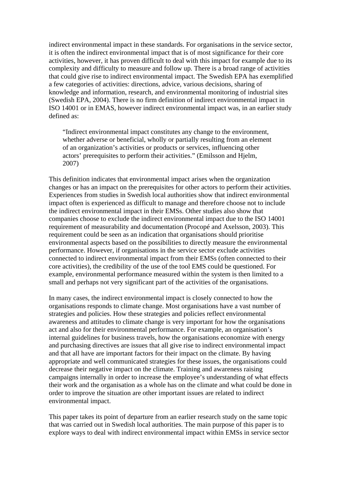indirect environmental impact in these standards. For organisations in the service sector, it is often the indirect environmental impact that is of most significance for their core activities, however, it has proven difficult to deal with this impact for example due to its complexity and difficulty to measure and follow up. There is a broad range of activities that could give rise to indirect environmental impact. The Swedish EPA has exemplified a few categories of activities: directions, advice, various decisions, sharing of knowledge and information, research, and environmental monitoring of industrial sites (Swedish EPA, 2004). There is no firm definition of indirect environmental impact in ISO 14001 or in EMAS, however indirect environmental impact was, in an earlier study defined as:

"Indirect environmental impact constitutes any change to the environment, whether adverse or beneficial, wholly or partially resulting from an element of an organization's activities or products or services, influencing other actors' prerequisites to perform their activities." (Emilsson and Hjelm, 2007)

This definition indicates that environmental impact arises when the organization changes or has an impact on the prerequisites for other actors to perform their activities. Experiences from studies in Swedish local authorities show that indirect environmental impact often is experienced as difficult to manage and therefore choose not to include the indirect environmental impact in their EMSs. Other studies also show that companies choose to exclude the indirect environmental impact due to the ISO 14001 requirement of measurability and documentation (Procopé and Axelsson, 2003). This requirement could be seen as an indication that organisations should prioritise environmental aspects based on the possibilities to directly measure the environmental performance. However, if organisations in the service sector exclude activities connected to indirect environmental impact from their EMSs (often connected to their core activities), the credibility of the use of the tool EMS could be questioned. For example, environmental performance measured within the system is then limited to a small and perhaps not very significant part of the activities of the organisations.

In many cases, the indirect environmental impact is closely connected to how the organisations responds to climate change. Most organisations have a vast number of strategies and policies. How these strategies and policies reflect environmental awareness and attitudes to climate change is very important for how the organisations act and also for their environmental performance. For example, an organisation's internal guidelines for business travels, how the organisations economize with energy and purchasing directives are issues that all give rise to indirect environmental impact and that all have are important factors for their impact on the climate. By having appropriate and well communicated strategies for these issues, the organisations could decrease their negative impact on the climate. Training and awareness raising campaigns internally in order to increase the employee's understanding of what effects their work and the organisation as a whole has on the climate and what could be done in order to improve the situation are other important issues are related to indirect environmental impact.

This paper takes its point of departure from an earlier research study on the same topic that was carried out in Swedish local authorities. The main purpose of this paper is to explore ways to deal with indirect environmental impact within EMSs in service sector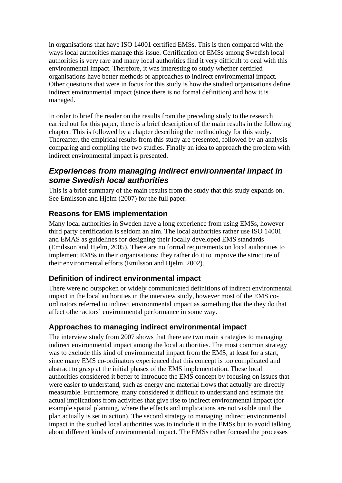in organisations that have ISO 14001 certified EMSs. This is then compared with the ways local authorities manage this issue. Certification of EMSs among Swedish local authorities is very rare and many local authorities find it very difficult to deal with this environmental impact. Therefore, it was interesting to study whether certified organisations have better methods or approaches to indirect environmental impact. Other questions that were in focus for this study is how the studied organisations define indirect environmental impact (since there is no formal definition) and how it is managed.

In order to brief the reader on the results from the preceding study to the research carried out for this paper, there is a brief description of the main results in the following chapter. This is followed by a chapter describing the methodology for this study. Thereafter, the empirical results from this study are presented, followed by an analysis comparing and compiling the two studies. Finally an idea to approach the problem with indirect environmental impact is presented.

#### *Experiences from managing indirect environmental impact in some Swedish local authorities*

This is a brief summary of the main results from the study that this study expands on. See Emilsson and Hjelm (2007) for the full paper.

#### **Reasons for EMS implementation**

Many local authorities in Sweden have a long experience from using EMSs, however third party certification is seldom an aim. The local authorities rather use ISO 14001 and EMAS as guidelines for designing their locally developed EMS standards (Emilsson and Hjelm, 2005). There are no formal requirements on local authorities to implement EMSs in their organisations; they rather do it to improve the structure of their environmental efforts (Emilsson and Hjelm, 2002).

#### **Definition of indirect environmental impact**

There were no outspoken or widely communicated definitions of indirect environmental impact in the local authorities in the interview study, however most of the EMS coordinators referred to indirect environmental impact as something that the they do that affect other actors' environmental performance in some way.

#### **Approaches to managing indirect environmental impact**

The interview study from 2007 shows that there are two main strategies to managing indirect environmental impact among the local authorities. The most common strategy was to exclude this kind of environmental impact from the EMS, at least for a start, since many EMS co-ordinators experienced that this concept is too complicated and abstract to grasp at the initial phases of the EMS implementation. These local authorities considered it better to introduce the EMS concept by focusing on issues that were easier to understand, such as energy and material flows that actually are directly measurable. Furthermore, many considered it difficult to understand and estimate the actual implications from activities that give rise to indirect environmental impact (for example spatial planning, where the effects and implications are not visible until the plan actually is set in action). The second strategy to managing indirect environmental impact in the studied local authorities was to include it in the EMSs but to avoid talking about different kinds of environmental impact. The EMSs rather focused the processes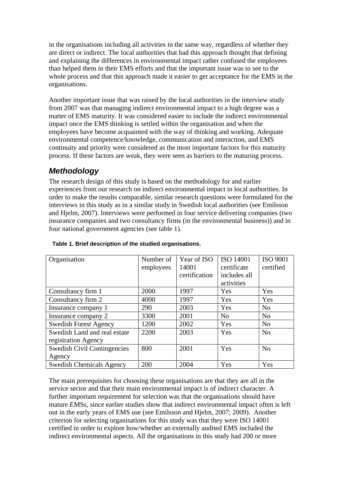in the organisations including all activities in the same way, regardless of whether they are direct or indirect. The local authorities that had this approach thought that defining and explaining the differences in environmental impact rather confused the employees than helped them in their EMS efforts and that the important issue was to see to the whole process and that this approach made it easier to get acceptance for the EMS in the organisations.

Another important issue that was raised by the local authorities in the interview study from 2007 was that managing indirect environmental impact to a high degree was a matter of EMS maturity. It was considered easier to include the indirect environmental impact once the EMS thinking is settled within the organisation and when the employees have become acquainted with the way of thinking and working. Adequate environmental competence/knowledge, communication and interaction, and EMS continuity and priority were considered as the most important factors for this maturity process. If these factors are weak, they were seen as barriers to the maturing process.

# *Methodology*

The research design of this study is based on the methodology for and earlier experiences from our research on indirect environmental impact in local authorities. In order to make the results comparable, similar research questions were formulated for the interviews in this study as in a similar study in Swedish local authorities (see Emilsson and Hjelm, 2007). Interviews were performed in four service delivering companies (two insurance companies and two consultancy firms (in the environmental business)) and in four national government agencies (see table 1).

| Organisation                       | Number of<br>employees | Year of ISO<br>14001<br>certification | <b>ISO 14001</b><br>certificate<br>includes all<br>activities | <b>ISO 9001</b><br>certified |
|------------------------------------|------------------------|---------------------------------------|---------------------------------------------------------------|------------------------------|
| Consultancy firm 1                 | 2000                   | 1997                                  | Yes                                                           | Yes                          |
| Consultancy firm 2                 | 4000                   | 1997                                  | Yes                                                           | Yes                          |
| Insurance company 1                | 290                    | 2003                                  | Yes                                                           | N <sub>0</sub>               |
| Insurance company 2                | 3300                   | 2001                                  | N <sub>o</sub>                                                | N <sub>0</sub>               |
| <b>Swedish Forest Agency</b>       | 1200                   | 2002                                  | Yes                                                           | N <sub>o</sub>               |
| Swedish Land and real estate       | 2200                   | 2003                                  | Yes                                                           | N <sub>o</sub>               |
| registration Agency                |                        |                                       |                                                               |                              |
| <b>Swedish Civil Contingencies</b> | 800                    | 2001                                  | Yes                                                           | N <sub>o</sub>               |
| Agency                             |                        |                                       |                                                               |                              |
| <b>Swedish Chemicals Agency</b>    | 200                    | 2004                                  | Yes                                                           | Yes                          |

#### **Table 1. Brief description of the studied organisations.**

The main prerequisites for choosing these organisations are that they are all in the service sector and that their main environmental impact is of indirect character. A further important requirement for selection was that the organisations should have mature EMSs, since earlier studies show that indirect environmental impact often is left out in the early years of EMS use (see Emilsson and Hjelm, 2007; 2009). Another criterion for selecting organisations for this study was that they were ISO 14001 certified in order to explore how/whether an externally audited EMS included the indirect environmental aspects. All the organisations in this study had 200 or more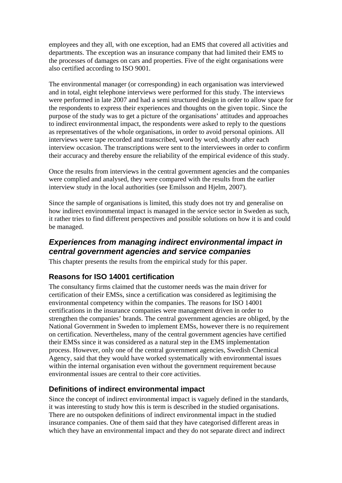employees and they all, with one exception, had an EMS that covered all activities and departments. The exception was an insurance company that had limited their EMS to the processes of damages on cars and properties. Five of the eight organisations were also certified according to ISO 9001.

The environmental manager (or corresponding) in each organisation was interviewed and in total, eight telephone interviews were performed for this study. The interviews were performed in late 2007 and had a semi structured design in order to allow space for the respondents to express their experiences and thoughts on the given topic. Since the purpose of the study was to get a picture of the organisations' attitudes and approaches to indirect environmental impact, the respondents were asked to reply to the questions as representatives of the whole organisations, in order to avoid personal opinions. All interviews were tape recorded and transcribed, word by word, shortly after each interview occasion. The transcriptions were sent to the interviewees in order to confirm their accuracy and thereby ensure the reliability of the empirical evidence of this study.

Once the results from interviews in the central government agencies and the companies were complied and analysed, they were compared with the results from the earlier interview study in the local authorities (see Emilsson and Hjelm, 2007).

Since the sample of organisations is limited, this study does not try and generalise on how indirect environmental impact is managed in the service sector in Sweden as such, it rather tries to find different perspectives and possible solutions on how it is and could be managed.

## *Experiences from managing indirect environmental impact in central government agencies and service companies*

This chapter presents the results from the empirical study for this paper.

## **Reasons for ISO 14001 certification**

The consultancy firms claimed that the customer needs was the main driver for certification of their EMSs, since a certification was considered as legitimising the environmental competency within the companies. The reasons for ISO 14001 certifications in the insurance companies were management driven in order to strengthen the companies' brands. The central government agencies are obliged, by the National Government in Sweden to implement EMSs, however there is no requirement on certification. Nevertheless, many of the central government agencies have certified their EMSs since it was considered as a natural step in the EMS implementation process. However, only one of the central government agencies, Swedish Chemical Agency, said that they would have worked systematically with environmental issues within the internal organisation even without the government requirement because environmental issues are central to their core activities.

#### **Definitions of indirect environmental impact**

Since the concept of indirect environmental impact is vaguely defined in the standards, it was interesting to study how this is term is described in the studied organisations. There are no outspoken definitions of indirect environmental impact in the studied insurance companies. One of them said that they have categorised different areas in which they have an environmental impact and they do not separate direct and indirect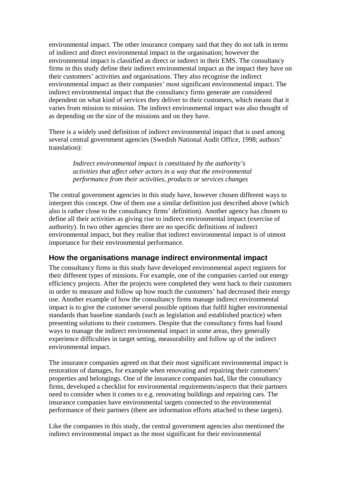environmental impact. The other insurance company said that they do not talk in terms of indirect and direct environmental impact in the organisation; however the environmental impact is classified as direct or indirect in their EMS. The consultancy firms in this study define their indirect environmental impact as the impact they have on their customers' activities and organisations. They also recognise the indirect environmental impact as their companies' most significant environmental impact. The indirect environmental impact that the consultancy firms generate are considered dependent on what kind of services they deliver to their customers, which means that it varies from mission to mission. The indirect environmental impact was also thought of as depending on the size of the missions and on they have.

There is a widely used definition of indirect environmental impact that is used among several central government agencies (Swedish National Audit Office, 1998; authors' translation):

*Indirect environmental impact is constituted by the authority's activities that affect other actors in a way that the environmental performance from their activities, products or services changes*

The central government agencies in this study have, however chosen different ways to interpret this concept. One of them use a similar definition just described above (which also is rather close to the consultancy firms' definition). Another agency has chosen to define all their activities as giving rise to indirect environmental impact (exercise of authority). In two other agencies there are no specific definitions of indirect environmental impact, but they realise that indirect environmental impact is of utmost importance for their environmental performance.

#### **How the organisations manage indirect environmental impact**

The consultancy firms in this study have developed environmental aspect registers for their different types of missions. For example, one of the companies carried out energy efficiency projects. After the projects were completed they went back to their customers in order to measure and follow up how much the customers' had decreased their energy use. Another example of how the consultancy firms manage indirect environmental impact is to give the customer several possible options that fulfil higher environmental standards than baseline standards (such as legislation and established practice) when presenting solutions to their customers. Despite that the consultancy firms had found ways to manage the indirect environmental impact in some areas, they generally experience difficulties in target setting, measurability and follow up of the indirect environmental impact.

The insurance companies agreed on that their most significant environmental impact is restoration of damages, for example when renovating and repairing their customers' properties and belongings. One of the insurance companies had, like the consultancy firms, developed a checklist for environmental requirements/aspects that their partners need to consider when it comes to e.g. renovating buildings and repairing cars. The insurance companies have environmental targets connected to the environmental performance of their partners (there are information efforts attached to these targets).

Like the companies in this study, the central government agencies also mentioned the indirect environmental impact as the most significant for their environmental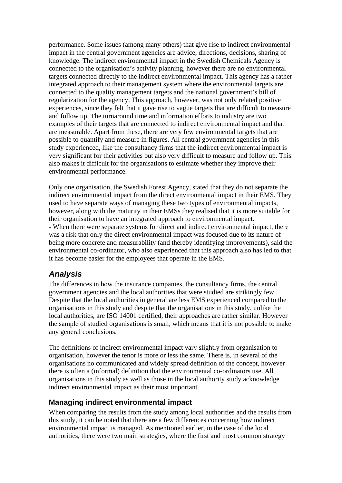performance. Some issues (among many others) that give rise to indirect environmental impact in the central government agencies are advice, directions, decisions, sharing of knowledge. The indirect environmental impact in the Swedish Chemicals Agency is connected to the organisation's activity planning, however there are no environmental targets connected directly to the indirect environmental impact. This agency has a rather integrated approach to their management system where the environmental targets are connected to the quality management targets and the national government's bill of regularization for the agency. This approach, however, was not only related positive experiences, since they felt that it gave rise to vague targets that are difficult to measure and follow up. The turnaround time and information efforts to industry are two examples of their targets that are connected to indirect environmental impact and that are measurable. Apart from these, there are very few environmental targets that are possible to quantify and measure in figures. All central government agencies in this study experienced, like the consultancy firms that the indirect environmental impact is very significant for their activities but also very difficult to measure and follow up. This also makes it difficult for the organisations to estimate whether they improve their environmental performance.

Only one organisation, the Swedish Forest Agency, stated that they do not separate the indirect environmental impact from the direct environmental impact in their EMS. They used to have separate ways of managing these two types of environmental impacts, however, along with the maturity in their EMSs they realised that it is more suitable for their organisation to have an integrated approach to environmental impact. - When there were separate systems for direct and indirect environmental impact, there was a risk that only the direct environmental impact was focused due to its nature of being more concrete and measurability (and thereby identifying improvements), said the environmental co-ordinator, who also experienced that this approach also has led to that it has become easier for the employees that operate in the EMS.

# *Analysis*

The differences in how the insurance companies, the consultancy firms, the central government agencies and the local authorities that were studied are strikingly few. Despite that the local authorities in general are less EMS experienced compared to the organisations in this study and despite that the organisations in this study, unlike the local authorities, are ISO 14001 certified, their approaches are rather similar. However the sample of studied organisations is small, which means that it is not possible to make any general conclusions.

The definitions of indirect environmental impact vary slightly from organisation to organisation, however the tenor is more or less the same. There is, in several of the organisations no communicated and widely spread definition of the concept, however there is often a (informal) definition that the environmental co-ordinators use. All organisations in this study as well as those in the local authority study acknowledge indirect environmental impact as their most important.

#### **Managing indirect environmental impact**

When comparing the results from the study among local authorities and the results from this study, it can be noted that there are a few differences concerning how indirect environmental impact is managed. As mentioned earlier, in the case of the local authorities, there were two main strategies, where the first and most common strategy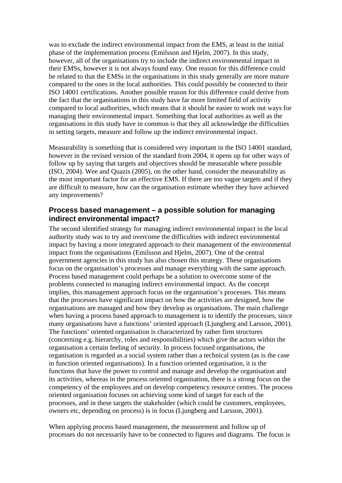was to exclude the indirect environmental impact from the EMS, at least in the initial phase of the implementation process (Emilsson and Hjelm, 2007). In this study, however, all of the organisations try to include the indirect environmental impact in their EMSs, however it is not always found easy. One reason for this difference could be related to that the EMSs in the organisations in this study generally are more mature compared to the ones in the local authorities. This could possibly be connected to their ISO 14001 certifications. Another possible reason for this difference could derive from the fact that the organisations in this study have far more limited field of activity compared to local authorities, which means that it should be easier to work out ways for managing their environmental impact. Something that local authorities as well as the organisations in this study have in common is that they all acknowledge the difficulties in setting targets, measure and follow up the indirect environmental impact.

Measurability is something that is considered very important in the ISO 14001 standard, however in the revised version of the standard from 2004, it opens up for other ways of follow up by saying that targets and objectives should be measurable where possible (ISO, 2004). Wee and Quazis (2005), on the other hand, consider the measurability as the most important factor for an effective EMS. If there are too vague targets and if they are difficult to measure, how can the organisation estimate whether they have achieved any improvements?

#### **Process based management – a possible solution for managing indirect environmental impact?**

The second identified strategy for managing indirect environmental impact in the local authority study was to try and overcome the difficulties with indirect environmental impact by having a more integrated approach to their management of the environmental impact from the organisations (Emilsson and Hjelm, 2007). One of the central government agencies in this study has also chosen this strategy. These organisations focus on the organisation's processes and manage everything with the same approach. Process based management could perhaps be a solution to overcome some of the problems connected to managing indirect environmental impact. As the concept implies, this management approach focus on the organisation's processes. This means that the processes have significant impact on how the activities are designed, how the organisations are managed and how they develop as organisations. The main challenge when having a process based approach to management is to identify the processes, since many organisations have a functions' oriented approach (Ljungberg and Larsson, 2001). The functions' oriented organisation is characterized by rather firm structures (concerning e.g. hierarchy, roles and responsibilities) which give the actors within the organisation a certain feeling of security. In process focused organisations, the organisation is regarded as a social system rather than a technical system (as is the case in function oriented organisations). In a function oriented organisation, it is the functions that have the power to control and manage and develop the organisation and its activities, whereas in the process oriented organisation, there is a strong focus on the competency of the employees and on develop competency resource centres. The process oriented organisation focuses on achieving some kind of target for each of the processes, and in these targets the stakeholder (which could be customers, employees, owners etc, depending on process) is in focus (Ljungberg and Larsson, 2001).

When applying process based management, the measurement and follow up of processes do not necessarily have to be connected to figures and diagrams. The focus is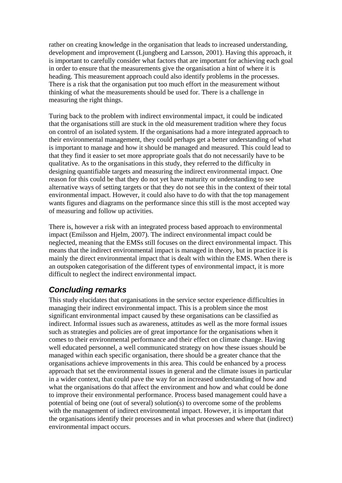rather on creating knowledge in the organisation that leads to increased understanding, development and improvement (Ljungberg and Larsson, 2001). Having this approach, it is important to carefully consider what factors that are important for achieving each goal in order to ensure that the measurements give the organisation a hint of where it is heading. This measurement approach could also identify problems in the processes. There is a risk that the organisation put too much effort in the measurement without thinking of what the measurements should be used for. There is a challenge in measuring the right things.

Turing back to the problem with indirect environmental impact, it could be indicated that the organisations still are stuck in the old measurement tradition where they focus on control of an isolated system. If the organisations had a more integrated approach to their environmental management, they could perhaps get a better understanding of what is important to manage and how it should be managed and measured. This could lead to that they find it easier to set more appropriate goals that do not necessarily have to be qualitative. As to the organisations in this study, they referred to the difficulty in designing quantifiable targets and measuring the indirect environmental impact. One reason for this could be that they do not yet have maturity or understanding to see alternative ways of setting targets or that they do not see this in the context of their total environmental impact. However, it could also have to do with that the top management wants figures and diagrams on the performance since this still is the most accepted way of measuring and follow up activities.

There is, however a risk with an integrated process based approach to environmental impact (Emilsson and Hjelm, 2007). The indirect environmental impact could be neglected, meaning that the EMSs still focuses on the direct environmental impact. This means that the indirect environmental impact is managed in theory, but in practice it is mainly the direct environmental impact that is dealt with within the EMS. When there is an outspoken categorisation of the different types of environmental impact, it is more difficult to neglect the indirect environmental impact.

## *Concluding remarks*

This study elucidates that organisations in the service sector experience difficulties in managing their indirect environmental impact. This is a problem since the most significant environmental impact caused by these organisations can be classified as indirect. Informal issues such as awareness, attitudes as well as the more formal issues such as strategies and policies are of great importance for the organisations when it comes to their environmental performance and their effect on climate change. Having well educated personnel, a well communicated strategy on how these issues should be managed within each specific organisation, there should be a greater chance that the organisations achieve improvements in this area. This could be enhanced by a process approach that set the environmental issues in general and the climate issues in particular in a wider context, that could pave the way for an increased understanding of how and what the organisations do that affect the environment and how and what could be done to improve their environmental performance. Process based management could have a potential of being one (out of several) solution(s) to overcome some of the problems with the management of indirect environmental impact. However, it is important that the organisations identify their processes and in what processes and where that (indirect) environmental impact occurs.